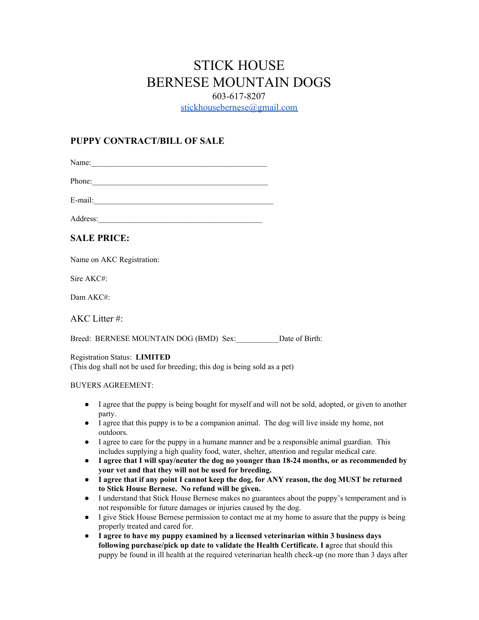# STICK HOUSE BERNESE MOUNTAIN DOGS 603-617-8207 [stickhousebernese@gmail.com](mailto:stickhousebernese@gmail.com)

## **[PUPPY CONTRACT/BILL OF SALE](mailto:ksamay1@gmail.com)**

Name:

Phone:

[E-mail:\\_\\_\\_\\_\\_\\_\\_\\_\\_\\_\\_\\_\\_\\_\\_\\_\\_\\_\\_\\_\\_\\_\\_\\_\\_\\_\\_\\_\\_\\_\\_\\_\\_\\_\\_\\_\\_\\_\\_\\_\\_\\_\\_\\_\\_\\_](mailto:ksamay1@gmail.com) Address:

## **[SALE PRICE:](mailto:ksamay1@gmail.com)**

[N](mailto:ksamay1@gmail.com)ame on AKC [Registration:](mailto:ksamay1@gmail.com)

Sire [AKC#:](mailto:ksamay1@gmail.com)

Dam [AKC#:](mailto:ksamay1@gmail.com)

AKC Litter #:

Breed: BERNESE MOUNTAIN DOG (BMD) Sex: Date of Birth:

### [Registration](mailto:ksamay1@gmail.com) Status: **[LIMITED](mailto:ksamay1@gmail.com)**

(This dog shall not be used for [breeding;](mailto:ksamay1@gmail.com) this dog is being sold as a pet)

### BUYERS [AGREEMENT:](mailto:ksamay1@gmail.com)

- I agree that the puppy is being bought for myself and will not be sold, [adopted,](mailto:ksamay1@gmail.com) or given to another [party.](mailto:ksamay1@gmail.com)
- I agree that this puppy is to be a [companion](mailto:ksamay1@gmail.com) animal. The dog will live inside my home, not [outdoors.](mailto:ksamay1@gmail.com)
- I agree to care for the puppy in a humane manner and be a [responsible](mailto:ksamay1@gmail.com) animal guardian. This includes [supplying](mailto:ksamay1@gmail.com) a high quality food, water, shelter, attention and regular medical care.
- **● I agree that I will spay/neuter the dog no younger than 18-24 months, or as [recommended](mailto:ksamay1@gmail.com) by your vet and that they will not be used for [breeding.](mailto:ksamay1@gmail.com)**
- I agree that if any point I cannot keep the dog, for ANY reason, the dog MUST be [returned](mailto:ksamay1@gmail.com) **to Stick House [Bernese.](mailto:ksamay1@gmail.com) No refund will be given.**
- I understand that Stick House Bernese makes no guarantees about the puppy's [temperament](mailto:ksamay1@gmail.com) and is not [responsible](mailto:ksamay1@gmail.com) for future damages or injuries caused by the dog.
- I give Stick House Bernese [permission](mailto:ksamay1@gmail.com) to contact me at my home to assure that the puppy is being [properly](mailto:ksamay1@gmail.com) treated and cared for.
- **I agree to have my puppy examined by a licensed [veterinarian](mailto:ksamay1@gmail.com) within 3 business days following [purchase/pick](mailto:ksamay1@gmail.com) up date to validate the Health Certificate. I a**gree that [should](mailto:ksamay1@gmail.com) this puppy be found in ill health at the required [veterinarian](mailto:ksamay1@gmail.com) health check-up (no more than 3 days after